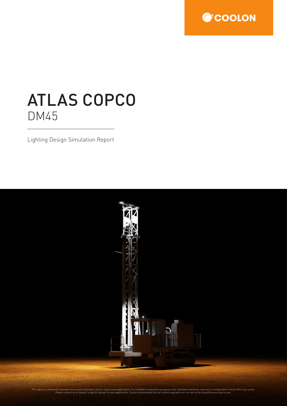

# ATLAS COPCO DM45

Lighting Design Simulation Report

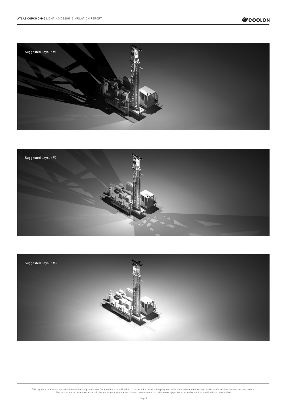





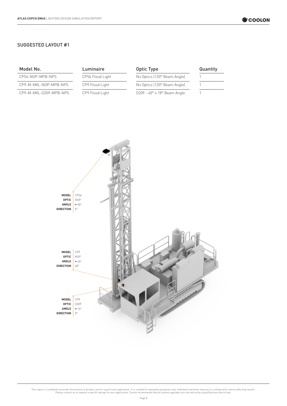## SUGGESTED LAYOUT #1

# Model No. **Luminaire Conservery Conservery Conservery Conservery Conservery Conservery Conservery Conservery Conservery Conservery Conservery Conservery Conservery Conservery Conservery Conservery Conservery Conservery C**

| CP9-M-XML-NOP-MPB-NPS |  |
|-----------------------|--|
|                       |  |

CP9-M-XML-0209-MPB-NPS CP9 Flood Light 0209 - 40° x 18° Beam Angle 1

# CP56-NOP-MPB-NPS CP56 Flood Light No Optics (120° Beam Angle)

CP9-Flood Light No Optics (120° Beam Angle)

| Quantity |  |  |
|----------|--|--|
|          |  |  |
|          |  |  |

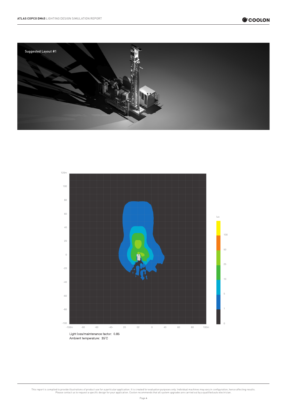



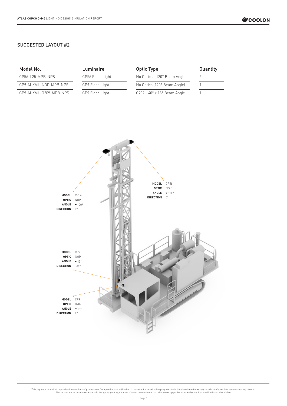## SUGGESTED LAYOUT #2

| Model No.                                                  | Luminaire                                                      | <b>Optic Type</b>                                                                                                    | Quantity     |
|------------------------------------------------------------|----------------------------------------------------------------|----------------------------------------------------------------------------------------------------------------------|--------------|
| CP56-L25-MPB-NPS                                           | CP56 Flood Light                                               | No Optics - 120° Beam Angle                                                                                          | $\mathbf{2}$ |
| CP9-M-XML-NOP-MPB-NPS                                      | CP9 Flood Light                                                | No Optics (120° Beam Angle)                                                                                          | $\mathbf{1}$ |
| CP9-M-XML-0209-MPB-NPS                                     | CP9 Flood Light                                                | 0209 - 40° x 18° Beam Angle                                                                                          | $\mathbf{1}$ |
| MODEL<br><b>OPTIC</b><br>ANGLE<br><b>DIRECTION</b>         | CP56<br><b>NOP</b><br>$\blacktriangledown$ 120°<br>$0^{\circ}$ | MODEL<br>CP56<br><b>OPTIC</b><br><b>NOP</b><br>ANGLE<br>$\blacktriangledown$ 120°<br>$0^{\circ}$<br><b>DIRECTION</b> |              |
| MODEL<br><b>OPTIC</b><br>${\sf ANGLE}$<br><b>DIRECTION</b> | CP9<br>$\sf{NOP}$<br>$\blacktriangledown$ 45°<br>$135^{\circ}$ |                                                                                                                      |              |
| MODEL<br><b>OPTIC</b><br>${\sf ANGLE}$<br><b>DIRECTION</b> | CP9<br>0209<br>$\blacktriangledown$ 15°<br>$0^{\circ}$         |                                                                                                                      |              |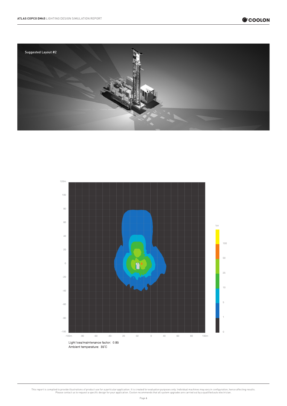



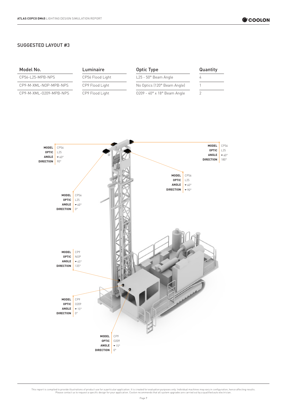# SUGGESTED LAYOUT #3

| Model No.              | Luminaire        | Optic Type                                   | Quantity |
|------------------------|------------------|----------------------------------------------|----------|
| CP56-L25-MPB-NPS       | CP56 Flood Light | $L25 - 50^\circ$ Beam Angle                  |          |
| CP9-M-XML-NOP-MPB-NPS  | CP9 Flood Light  | No Optics (120° Beam Angle)                  |          |
| CP9-M-XML-0209-MPB-NPS | CP9 Flood Light  | $0209 - 40^\circ \times 18^\circ$ Beam Angle |          |

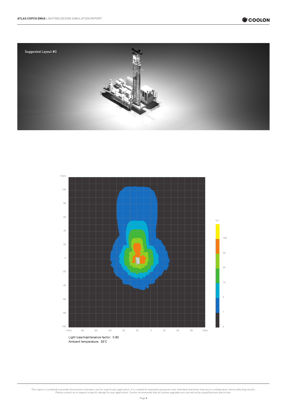



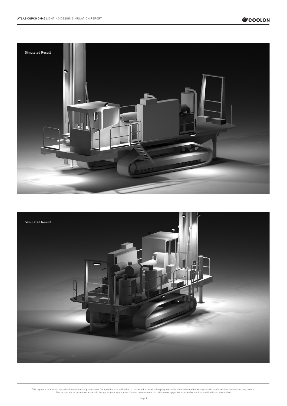

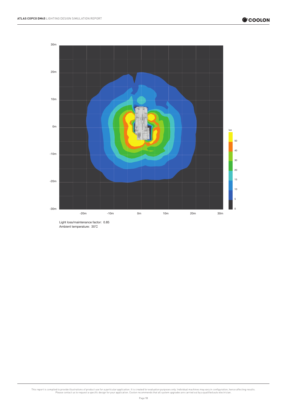

Light loss/maintenance factor: 0.85 Ambient temperature: 35°C